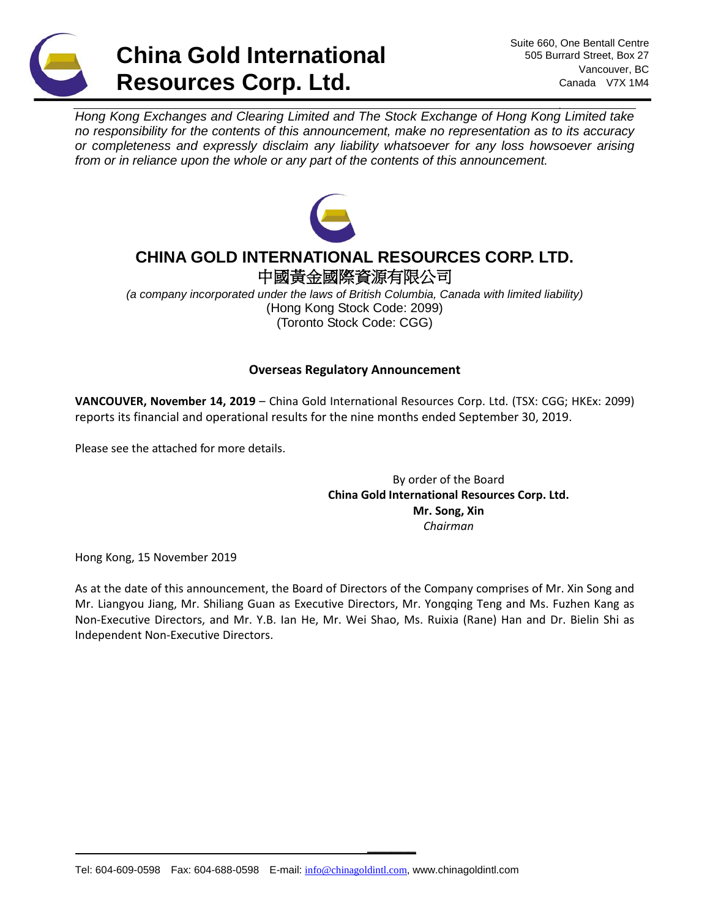

*Hong Kong Exchanges and Clearing Limited and The Stock Exchange of Hong Kong Limited take no responsibility for the contents of this announcement, make no representation as to its accuracy or completeness and expressly disclaim any liability whatsoever for any loss howsoever arising from or in reliance upon the whole or any part of the contents of this announcement.*



# **CHINA GOLD INTERNATIONAL RESOURCES CORP. LTD.** 中國黃金國際資源有限公司

*(a company incorporated under the laws of British Columbia, Canada with limited liability)* (Hong Kong Stock Code: 2099) (Toronto Stock Code: CGG)

# **Overseas Regulatory Announcement**

**VANCOUVER, November 14, 2019** – China Gold International Resources Corp. Ltd. (TSX: CGG; HKEx: 2099) reports its financial and operational results for the nine months ended September 30, 2019.

Please see the attached for more details.

By order of the Board **China Gold International Resources Corp. Ltd. Mr. Song, Xin** *Chairman*

Hong Kong, 15 November 2019

As at the date of this announcement, the Board of Directors of the Company comprises of Mr. Xin Song and Mr. Liangyou Jiang, Mr. Shiliang Guan as Executive Directors, Mr. Yongqing Teng and Ms. Fuzhen Kang as Non-Executive Directors, and Mr. Y.B. Ian He, Mr. Wei Shao, Ms. Ruixia (Rane) Han and Dr. Bielin Shi as Independent Non-Executive Directors.

**\_\_\_\_\_\_**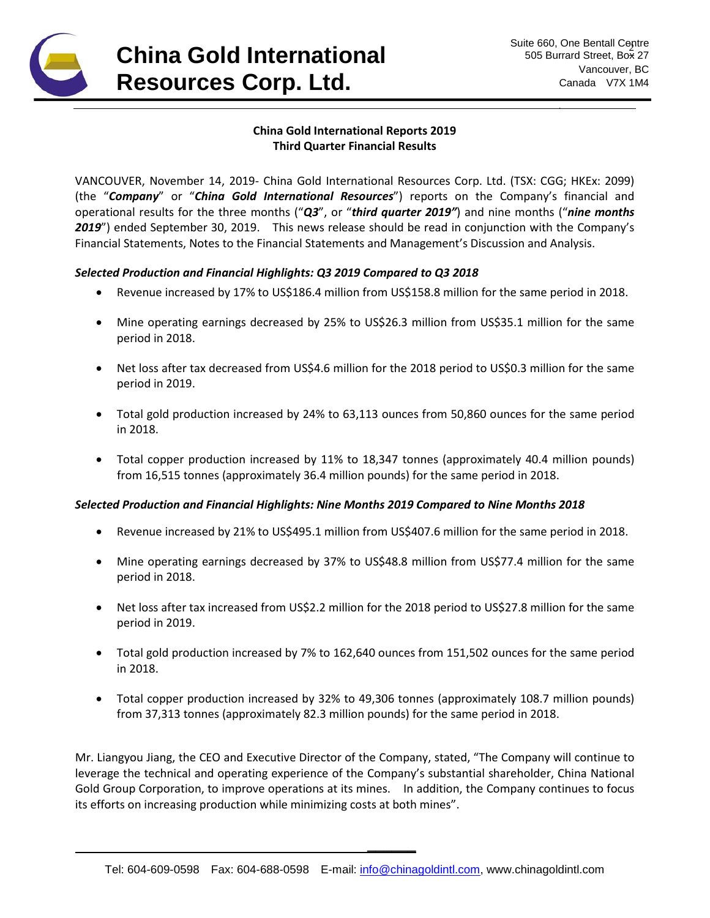

# **China Gold International Reports 2019 Third Quarter Financial Results**

VANCOUVER, November 14, 2019- China Gold International Resources Corp. Ltd. (TSX: CGG; HKEx: 2099) (the "*Company*" or "*China Gold International Resources*") reports on the Company's financial and operational results for the three months ("*Q3*", or "*third quarter 2019"*) and nine months ("*nine months 2019*") ended September 30, 2019. This news release should be read in conjunction with the Company's Financial Statements, Notes to the Financial Statements and Management's Discussion and Analysis.

## *Selected Production and Financial Highlights: Q3 2019 Compared to Q3 2018*

- Revenue increased by 17% to US\$186.4 million from US\$158.8 million for the same period in 2018.
- Mine operating earnings decreased by 25% to US\$26.3 million from US\$35.1 million for the same period in 2018.
- Net loss after tax decreased from US\$4.6 million for the 2018 period to US\$0.3 million for the same period in 2019.
- Total gold production increased by 24% to 63,113 ounces from 50,860 ounces for the same period in 2018.
- Total copper production increased by 11% to 18,347 tonnes (approximately 40.4 million pounds) from 16,515 tonnes (approximately 36.4 million pounds) for the same period in 2018.

### *Selected Production and Financial Highlights: Nine Months 2019 Compared to Nine Months 2018*

- Revenue increased by 21% to US\$495.1 million from US\$407.6 million for the same period in 2018.
- Mine operating earnings decreased by 37% to US\$48.8 million from US\$77.4 million for the same period in 2018.
- Net loss after tax increased from US\$2.2 million for the 2018 period to US\$27.8 million for the same period in 2019.
- Total gold production increased by 7% to 162,640 ounces from 151,502 ounces for the same period in 2018.
- Total copper production increased by 32% to 49,306 tonnes (approximately 108.7 million pounds) from 37,313 tonnes (approximately 82.3 million pounds) for the same period in 2018.

Mr. Liangyou Jiang, the CEO and Executive Director of the Company, stated, "The Company will continue to leverage the technical and operating experience of the Company's substantial shareholder, China National Gold Group Corporation, to improve operations at its mines. In addition, the Company continues to focus its efforts on increasing production while minimizing costs at both mines".

**\_\_\_\_\_\_**